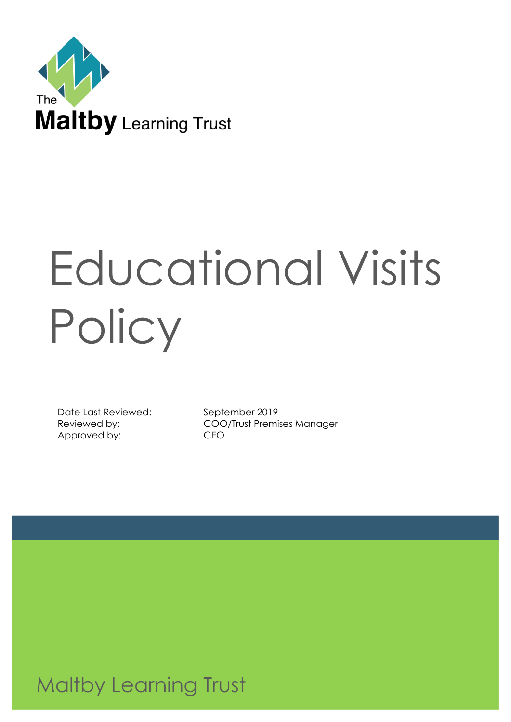

# Educational Visits **Policy**

Date Last Reviewed: September 2019 Approved by: CEO

Reviewed by: COO/Trust Premises Manager

**Maltby Learning Trust**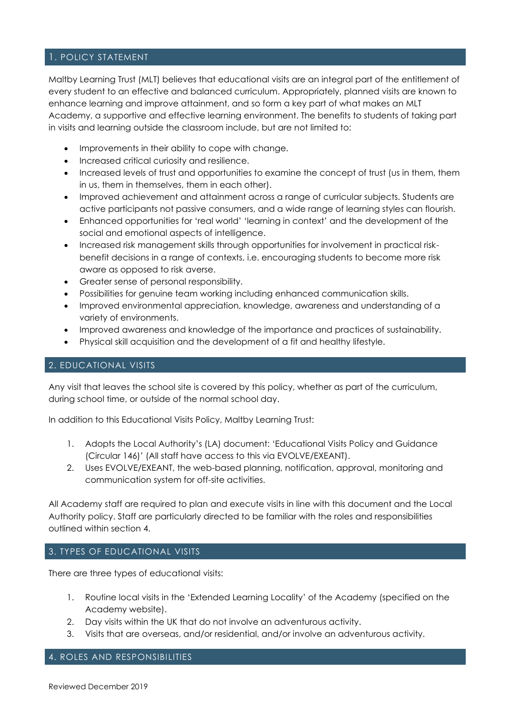# 1. POLICY STATEMENT

Maltby Learning Trust (MLT) believes that educational visits are an integral part of the entitlement of every student to an effective and balanced curriculum. Appropriately, planned visits are known to enhance learning and improve attainment, and so form a key part of what makes an MLT Academy, a supportive and effective learning environment. The benefits to students of taking part in visits and learning outside the classroom include, but are not limited to:

- Improvements in their ability to cope with change.
- Increased critical curiosity and resilience.
- Increased levels of trust and opportunities to examine the concept of trust (us in them, them in us, them in themselves, them in each other).
- Improved achievement and attainment across a range of curricular subjects. Students are active participants not passive consumers, and a wide range of learning styles can flourish.
- Enhanced opportunities for 'real world' 'learning in context' and the development of the social and emotional aspects of intelligence.
- Increased risk management skills through opportunities for involvement in practical riskbenefit decisions in a range of contexts, i.e. encouraging students to become more risk aware as opposed to risk averse.
- Greater sense of personal responsibility.
- Possibilities for genuine team working including enhanced communication skills.
- Improved environmental appreciation, knowledge, awareness and understanding of a variety of environments.
- Improved awareness and knowledge of the importance and practices of sustainability.
- Physical skill acquisition and the development of a fit and healthy lifestyle.

# 2. EDUCATIONAL VISITS

Any visit that leaves the school site is covered by this policy, whether as part of the curriculum, during school time, or outside of the normal school day.

In addition to this Educational Visits Policy, Maltby Learning Trust:

- 1. Adopts the Local Authority's (LA) document: 'Educational Visits Policy and Guidance (Circular 146)' (All staff have access to this via EVOLVE/EXEANT).
- 2. Uses EVOLVE/EXEANT, the web-based planning, notification, approval, monitoring and communication system for off-site activities.

All Academy staff are required to plan and execute visits in line with this document and the Local Authority policy. Staff are particularly directed to be familiar with the roles and responsibilities outlined within section 4.

# 3. TYPES OF EDUCATIONAL VISITS

There are three types of educational visits:

- 1. Routine local visits in the 'Extended Learning Locality' of the Academy (specified on the Academy website).
- 2. Day visits within the UK that do not involve an adventurous activity.
- 3. Visits that are overseas, and/or residential, and/or involve an adventurous activity.

# 4. ROLES AND RESPONSIBILITIES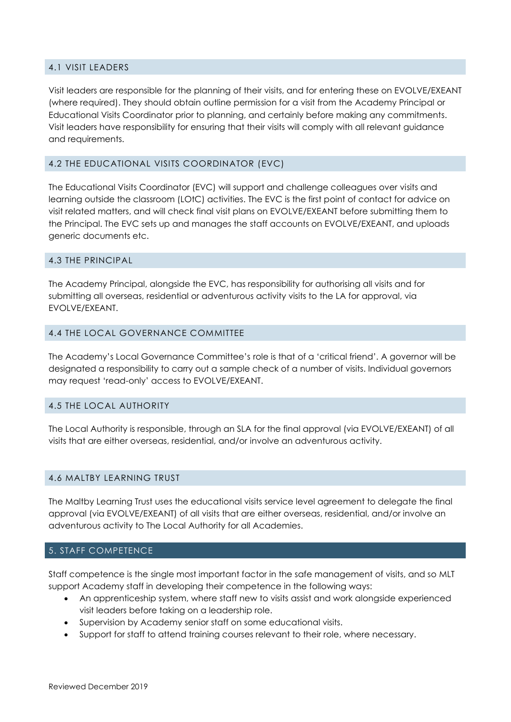# 4.1 VISIT LEADERS

Visit leaders are responsible for the planning of their visits, and for entering these on EVOLVE/EXEANT (where required). They should obtain outline permission for a visit from the Academy Principal or Educational Visits Coordinator prior to planning, and certainly before making any commitments. Visit leaders have responsibility for ensuring that their visits will comply with all relevant guidance and requirements.

#### 4.2 THE EDUCATIONAL VISITS COORDINATOR (EVC)

The Educational Visits Coordinator (EVC) will support and challenge colleagues over visits and learning outside the classroom (LOtC) activities. The EVC is the first point of contact for advice on visit related matters, and will check final visit plans on EVOLVE/EXEANT before submitting them to the Principal. The EVC sets up and manages the staff accounts on EVOLVE/EXEANT, and uploads generic documents etc.

#### 4.3 THE PRINCIPAL

The Academy Principal, alongside the EVC, has responsibility for authorising all visits and for submitting all overseas, residential or adventurous activity visits to the LA for approval, via EVOLVE/EXEANT.

#### 4.4 THE LOCAL GOVERNANCE COMMITTEE

The Academy's Local Governance Committee's role is that of a 'critical friend'. A governor will be designated a responsibility to carry out a sample check of a number of visits. Individual governors may request 'read-only' access to EVOLVE/EXEANT.

#### 4.5 THE LOCAL AUTHORITY

The Local Authority is responsible, through an SLA for the final approval (via EVOLVE/EXEANT) of all visits that are either overseas, residential, and/or involve an adventurous activity.

#### 4.6 MALTBY LEARNING TRUST

The Maltby Learning Trust uses the educational visits service level agreement to delegate the final approval (via EVOLVE/EXEANT) of all visits that are either overseas, residential, and/or involve an adventurous activity to The Local Authority for all Academies.

# 5. STAFF COMPETENCE

Staff competence is the single most important factor in the safe management of visits, and so MLT support Academy staff in developing their competence in the following ways:

- An apprenticeship system, where staff new to visits assist and work alongside experienced visit leaders before taking on a leadership role.
- Supervision by Academy senior staff on some educational visits.
- Support for staff to attend training courses relevant to their role, where necessary.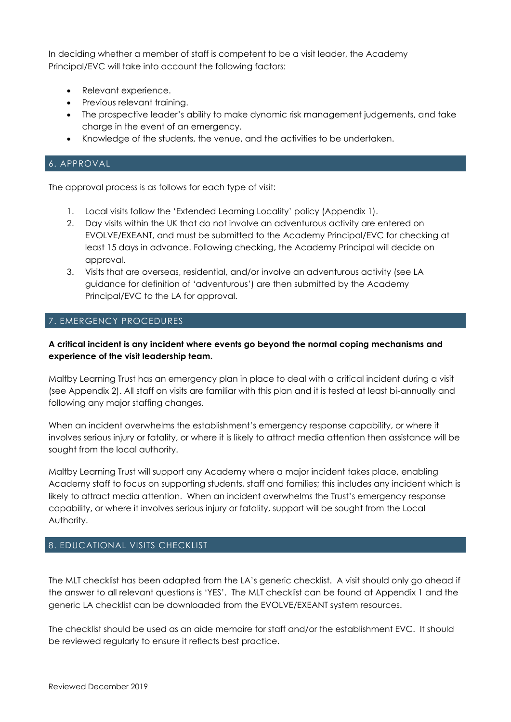In deciding whether a member of staff is competent to be a visit leader, the Academy Principal/EVC will take into account the following factors:

- Relevant experience.
- Previous relevant training.
- The prospective leader's ability to make dynamic risk management judgements, and take charge in the event of an emergency.
- Knowledge of the students, the venue, and the activities to be undertaken.

# 6. APPROVAL

The approval process is as follows for each type of visit:

- 1. Local visits follow the 'Extended Learning Locality' policy (Appendix 1).
- 2. Day visits within the UK that do not involve an adventurous activity are entered on EVOLVE/EXEANT, and must be submitted to the Academy Principal/EVC for checking at least 15 days in advance. Following checking, the Academy Principal will decide on approval.
- 3. Visits that are overseas, residential, and/or involve an adventurous activity (see LA guidance for definition of 'adventurous') are then submitted by the Academy Principal/EVC to the LA for approval.

# 7. EMERGENCY PROCEDURES

# **A critical incident is any incident where events go beyond the normal coping mechanisms and experience of the visit leadership team.**

Maltby Learning Trust has an emergency plan in place to deal with a critical incident during a visit (see Appendix 2). All staff on visits are familiar with this plan and it is tested at least bi-annually and following any major staffing changes.

When an incident overwhelms the establishment's emergency response capability, or where it involves serious injury or fatality, or where it is likely to attract media attention then assistance will be sought from the local authority.

Maltby Learning Trust will support any Academy where a major incident takes place, enabling Academy staff to focus on supporting students, staff and families; this includes any incident which is likely to attract media attention. When an incident overwhelms the Trust's emergency response capability, or where it involves serious injury or fatality, support will be sought from the Local Authority.

# 8. EDUCATIONAL VISITS CHECKLIST

The MLT checklist has been adapted from the LA's generic checklist. A visit should only go ahead if the answer to all relevant questions is 'YES'. The MLT checklist can be found at Appendix 1 and the generic LA checklist can be downloaded from the EVOLVE/EXEANT system resources.

The checklist should be used as an aide memoire for staff and/or the establishment EVC. It should be reviewed regularly to ensure it reflects best practice.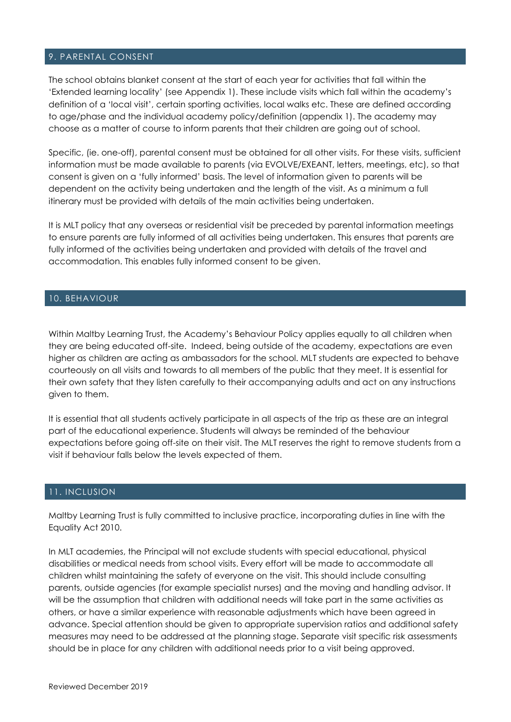# 9. PARENTAL CONSENT

The school obtains blanket consent at the start of each year for activities that fall within the 'Extended learning locality' (see Appendix 1). These include visits which fall within the academy's definition of a 'local visit', certain sporting activities, local walks etc. These are defined according to age/phase and the individual academy policy/definition (appendix 1). The academy may choose as a matter of course to inform parents that their children are going out of school.

Specific, (ie. one-off), parental consent must be obtained for all other visits. For these visits, sufficient information must be made available to parents (via EVOLVE/EXEANT, letters, meetings, etc), so that consent is given on a 'fully informed' basis. The level of information given to parents will be dependent on the activity being undertaken and the length of the visit. As a minimum a full itinerary must be provided with details of the main activities being undertaken.

It is MLT policy that any overseas or residential visit be preceded by parental information meetings to ensure parents are fully informed of all activities being undertaken. This ensures that parents are fully informed of the activities being undertaken and provided with details of the travel and accommodation. This enables fully informed consent to be given.

#### 10. BEHAVIOUR

Within Maltby Learning Trust, the Academy's Behaviour Policy applies equally to all children when they are being educated off-site. Indeed, being outside of the academy, expectations are even higher as children are acting as ambassadors for the school. MLT students are expected to behave courteously on all visits and towards to all members of the public that they meet. It is essential for their own safety that they listen carefully to their accompanying adults and act on any instructions given to them.

It is essential that all students actively participate in all aspects of the trip as these are an integral part of the educational experience. Students will always be reminded of the behaviour expectations before going off-site on their visit. The MLT reserves the right to remove students from a visit if behaviour falls below the levels expected of them.

#### 11. INCLUSION

Maltby Learning Trust is fully committed to inclusive practice, incorporating duties in line with the Equality Act 2010.

In MLT academies, the Principal will not exclude students with special educational, physical disabilities or medical needs from school visits. Every effort will be made to accommodate all children whilst maintaining the safety of everyone on the visit. This should include consulting parents, outside agencies (for example specialist nurses) and the moving and handling advisor. It will be the assumption that children with additional needs will take part in the same activities as others, or have a similar experience with reasonable adjustments which have been agreed in advance. Special attention should be given to appropriate supervision ratios and additional safety measures may need to be addressed at the planning stage. Separate visit specific risk assessments should be in place for any children with additional needs prior to a visit being approved.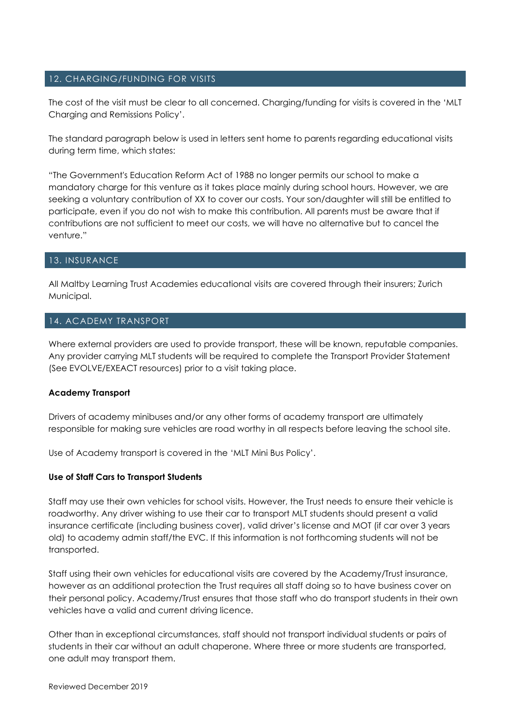# 12. CHARGING/FUNDING FOR VISITS

The cost of the visit must be clear to all concerned. Charging/funding for visits is covered in the 'MLT Charging and Remissions Policy'.

The standard paragraph below is used in letters sent home to parents regarding educational visits during term time, which states:

"The Government's Education Reform Act of 1988 no longer permits our school to make a mandatory charge for this venture as it takes place mainly during school hours. However, we are seeking a voluntary contribution of XX to cover our costs. Your son/daughter will still be entitled to participate, even if you do not wish to make this contribution. All parents must be aware that if contributions are not sufficient to meet our costs, we will have no alternative but to cancel the venture."

#### 13. INSURANCE

All Maltby Learning Trust Academies educational visits are covered through their insurers; Zurich Municipal.

#### 14. ACADEMY TRANSPORT

Where external providers are used to provide transport, these will be known, reputable companies. Any provider carrying MLT students will be required to complete the Transport Provider Statement (See EVOLVE/EXEACT resources) prior to a visit taking place.

#### **Academy Transport**

Drivers of academy minibuses and/or any other forms of academy transport are ultimately responsible for making sure vehicles are road worthy in all respects before leaving the school site.

Use of Academy transport is covered in the 'MLT Mini Bus Policy'.

#### **Use of Staff Cars to Transport Students**

Staff may use their own vehicles for school visits. However, the Trust needs to ensure their vehicle is roadworthy. Any driver wishing to use their car to transport MLT students should present a valid insurance certificate (including business cover), valid driver's license and MOT (if car over 3 years old) to academy admin staff/the EVC. If this information is not forthcoming students will not be transported.

Staff using their own vehicles for educational visits are covered by the Academy/Trust insurance, however as an additional protection the Trust requires all staff doing so to have business cover on their personal policy. Academy/Trust ensures that those staff who do transport students in their own vehicles have a valid and current driving licence.

Other than in exceptional circumstances, staff should not transport individual students or pairs of students in their car without an adult chaperone. Where three or more students are transported, one adult may transport them.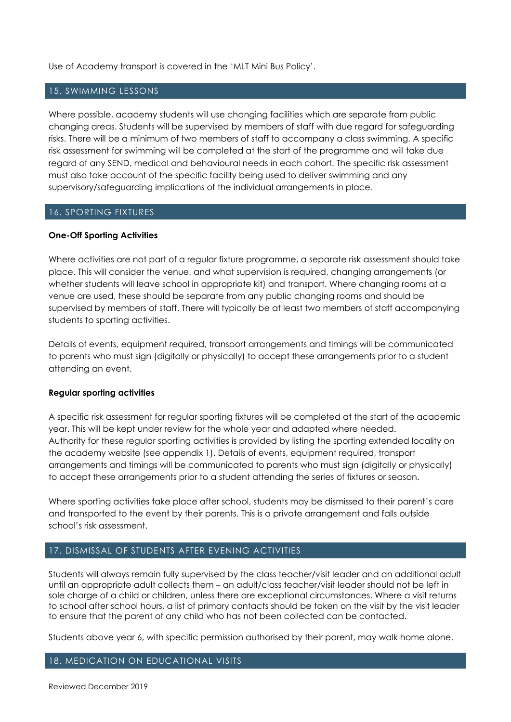Use of Academy transport is covered in the 'MLT Mini Bus Policy'.

#### 15. SWIMMING LESSONS

Where possible, academy students will use changing facilities which are separate from public changing areas. Students will be supervised by members of staff with due regard for safeguarding risks. There will be a minimum of two members of staff to accompany a class swimming, A specific risk assessment for swimming will be completed at the start of the programme and will take due regard of any SEND, medical and behavioural needs in each cohort. The specific risk assessment must also take account of the specific facility being used to deliver swimming and any supervisory/safeguarding implications of the individual arrangements in place.

#### 16. SPORTING FIXTURES

#### **One-Off Sporting Activities**

Where activities are not part of a regular fixture programme, a separate risk assessment should take place. This will consider the venue, and what supervision is required, changing arrangements (or whether students will leave school in appropriate kit) and transport. Where changing rooms at a venue are used, these should be separate from any public changing rooms and should be supervised by members of staff. There will typically be at least two members of staff accompanying students to sporting activities.

Details of events, equipment required, transport arrangements and timings will be communicated to parents who must sign (digitally or physically) to accept these arrangements prior to a student attending an event.

#### **Regular sporting activities**

A specific risk assessment for regular sporting fixtures will be completed at the start of the academic year. This will be kept under review for the whole year and adapted where needed. Authority for these regular sporting activities is provided by listing the sporting extended locality on the academy website (see appendix 1). Details of events, equipment required, transport arrangements and timings will be communicated to parents who must sign (digitally or physically) to accept these arrangements prior to a student attending the series of fixtures or season.

Where sporting activities take place after school, students may be dismissed to their parent's care and transported to the event by their parents. This is a private arrangement and falls outside school's risk assessment.

# 17. DISMISSAL OF STUDENTS AFTER EVENING ACTIVITIES

Students will always remain fully supervised by the class teacher/visit leader and an additional adult until an appropriate adult collects them – an adult/class teacher/visit leader should not be left in sole charge of a child or children, unless there are exceptional circumstances. Where a visit returns to school after school hours, a list of primary contacts should be taken on the visit by the visit leader to ensure that the parent of any child who has not been collected can be contacted.

Students above year 6, with specific permission authorised by their parent, may walk home alone.

# 18. MEDICATION ON EDUCATIONAL VISITS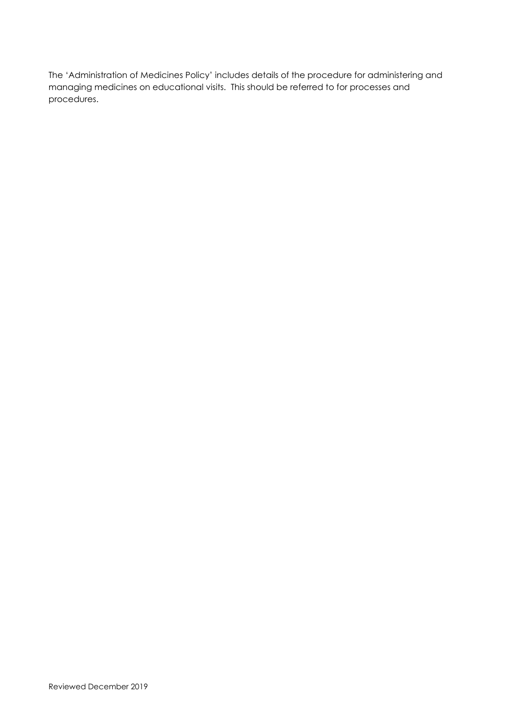The 'Administration of Medicines Policy' includes details of the procedure for administering and managing medicines on educational visits. This should be referred to for processes and procedures.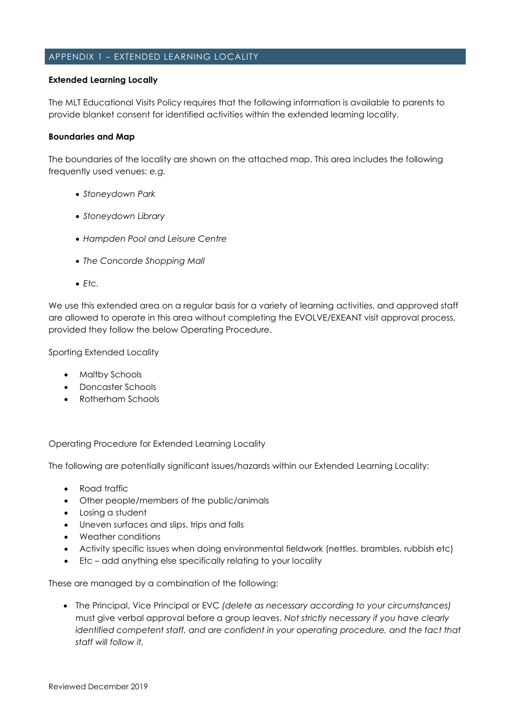# APPENDIX 1 – EXTENDED LEARNING LOCALITY

#### **Extended Learning Locally**

The MLT Educational Visits Policy requires that the following information is available to parents to provide blanket consent for identified activities within the extended learning locality.

#### **Boundaries and Map**

The boundaries of the locality are shown on the attached map. This area includes the following frequently used venues: *e.g.*

- *Stoneydown Park*
- *Stoneydown Library*
- *Hampden Pool and Leisure Centre*
- *The Concorde Shopping Mall*
- *Etc.*

We use this extended area on a regular basis for a variety of learning activities, and approved staff are allowed to operate in this area without completing the EVOLVE/EXEANT visit approval process, provided they follow the below Operating Procedure.

Sporting Extended Locality

- Maltby Schools
- Doncaster Schools
- Rotherham Schools

Operating Procedure for Extended Learning Locality

The following are potentially significant issues/hazards within our Extended Learning Locality:

- Road traffic
- Other people/members of the public/animals
- Losing a student
- Uneven surfaces and slips, trips and falls
- Weather conditions
- Activity specific issues when doing environmental fieldwork (nettles, brambles, rubbish etc)
- Etc add anything else specifically relating to your locality

These are managed by a combination of the following:

• The Principal, Vice Principal or EVC *(delete as necessary according to your circumstances)* must give verbal approval before a group leaves. *Not strictly necessary if you have clearly identified competent staff, and are confident in your operating procedure, and the fact that staff will follow it.*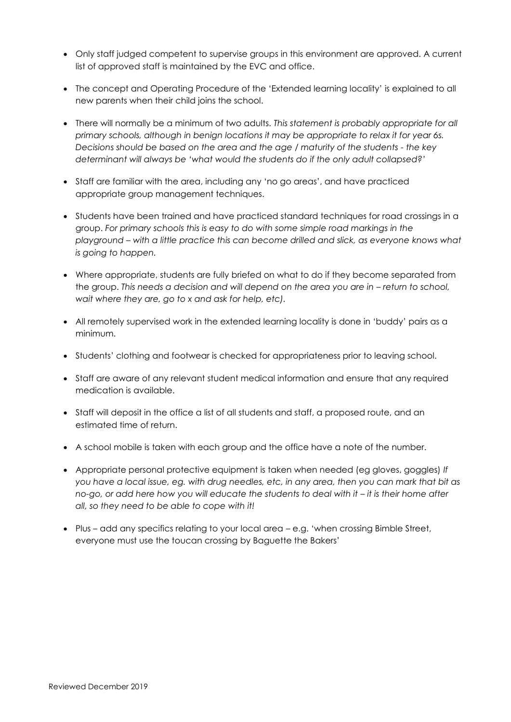- Only staff judged competent to supervise groups in this environment are approved. A current list of approved staff is maintained by the EVC and office.
- The concept and Operating Procedure of the 'Extended learning locality' is explained to all new parents when their child joins the school.
- There will normally be a minimum of two adults. *This statement is probably appropriate for all primary schools, although in benign locations it may be appropriate to relax it for year 6s. Decisions should be based on the area and the age / maturity of the students - the key determinant will always be 'what would the students do if the only adult collapsed?'*
- Staff are familiar with the area, including any 'no go areas', and have practiced appropriate group management techniques.
- Students have been trained and have practiced standard techniques for road crossings in a group. *For primary schools this is easy to do with some simple road markings in the playground – with a little practice this can become drilled and slick, as everyone knows what is going to happen.*
- Where appropriate, students are fully briefed on what to do if they become separated from the group. This needs a decision and will depend on the area you are in – return to school, *wait where they are, go to x and ask for help, etc).*
- All remotely supervised work in the extended learning locality is done in 'buddy' pairs as a minimum.
- Students' clothing and footwear is checked for appropriateness prior to leaving school.
- Staff are aware of any relevant student medical information and ensure that any required medication is available.
- Staff will deposit in the office a list of all students and staff, a proposed route, and an estimated time of return.
- A school mobile is taken with each group and the office have a note of the number.
- Appropriate personal protective equipment is taken when needed (eg gloves, goggles) *If you have a local issue, eg. with drug needles, etc, in any area, then you can mark that bit as no-go, or add here how you will educate the students to deal with it – it is their home after all, so they need to be able to cope with it!*
- Plus add any specifics relating to your local area e.g. 'when crossing Bimble Street, everyone must use the toucan crossing by Baguette the Bakers'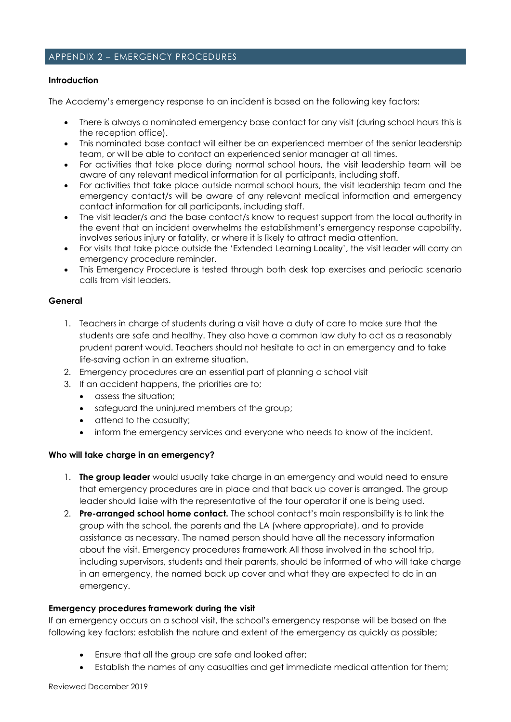#### APPENDIX 2 – EMERGENCY PROCEDURES

#### **Introduction**

The Academy's emergency response to an incident is based on the following key factors:

- There is always a nominated emergency base contact for any visit (during school hours this is the reception office).
- This nominated base contact will either be an experienced member of the senior leadership team, or will be able to contact an experienced senior manager at all times.
- For activities that take place during normal school hours, the visit leadership team will be aware of any relevant medical information for all participants, including staff.
- For activities that take place outside normal school hours, the visit leadership team and the emergency contact/s will be aware of any relevant medical information and emergency contact information for all participants, including staff.
- The visit leader/s and the base contact/s know to request support from the local authority in the event that an incident overwhelms the establishment's emergency response capability, involves serious injury or fatality, or where it is likely to attract media attention.
- For visits that take place outside the 'Extended Learning Locality', the visit leader will carry an emergency procedure reminder.
- This Emergency Procedure is tested through both desk top exercises and periodic scenario calls from visit leaders.

#### **General**

- 1. Teachers in charge of students during a visit have a duty of care to make sure that the students are safe and healthy. They also have a common law duty to act as a reasonably prudent parent would. Teachers should not hesitate to act in an emergency and to take life-saving action in an extreme situation.
- 2. Emergency procedures are an essential part of planning a school visit
- 3. If an accident happens, the priorities are to;
	- assess the situation;
	- safeguard the uninjured members of the group;
	- attend to the casualty;
	- inform the emergency services and everyone who needs to know of the incident.

#### **Who will take charge in an emergency?**

- 1. **The group leader** would usually take charge in an emergency and would need to ensure that emergency procedures are in place and that back up cover is arranged. The group leader should liaise with the representative of the tour operator if one is being used.
- 2. **Pre-arranged school home contact.** The school contact's main responsibility is to link the group with the school, the parents and the LA (where appropriate), and to provide assistance as necessary. The named person should have all the necessary information about the visit. Emergency procedures framework All those involved in the school trip, including supervisors, students and their parents, should be informed of who will take charge in an emergency, the named back up cover and what they are expected to do in an emergency.

#### **Emergency procedures framework during the visit**

If an emergency occurs on a school visit, the school's emergency response will be based on the following key factors: establish the nature and extent of the emergency as quickly as possible;

- Ensure that all the group are safe and looked after;
- Establish the names of any casualties and get immediate medical attention for them;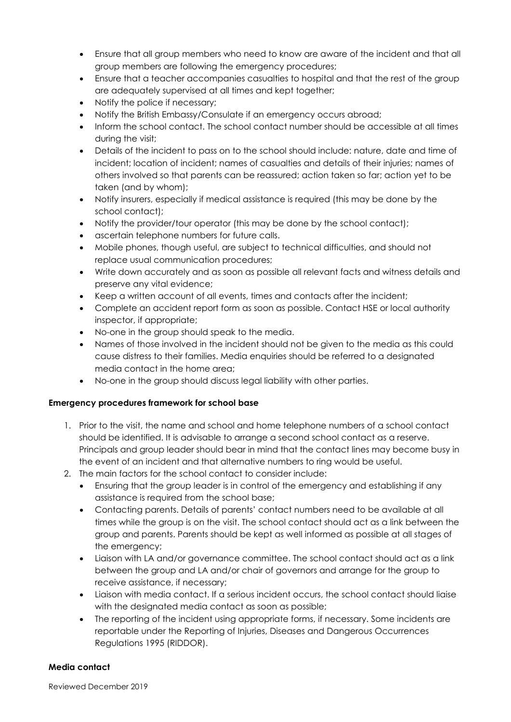- Ensure that all group members who need to know are aware of the incident and that all group members are following the emergency procedures;
- Ensure that a teacher accompanies casualties to hospital and that the rest of the group are adequately supervised at all times and kept together;
- Notify the police if necessary;
- Notify the British Embassy/Consulate if an emergency occurs abroad;
- Inform the school contact. The school contact number should be accessible at all times during the visit;
- Details of the incident to pass on to the school should include: nature, date and time of incident; location of incident; names of casualties and details of their injuries; names of others involved so that parents can be reassured; action taken so far; action yet to be taken (and by whom);
- Notify insurers, especially if medical assistance is required (this may be done by the school contact);
- Notify the provider/tour operator (this may be done by the school contact);
- ascertain telephone numbers for future calls.
- Mobile phones, though useful, are subject to technical difficulties, and should not replace usual communication procedures;
- Write down accurately and as soon as possible all relevant facts and witness details and preserve any vital evidence;
- Keep a written account of all events, times and contacts after the incident;
- Complete an accident report form as soon as possible. Contact HSE or local authority inspector, if appropriate;
- No-one in the group should speak to the media.
- Names of those involved in the incident should not be given to the media as this could cause distress to their families. Media enquiries should be referred to a designated media contact in the home area;
- No-one in the group should discuss legal liability with other parties.

# **Emergency procedures framework for school base**

- 1. Prior to the visit, the name and school and home telephone numbers of a school contact should be identified. It is advisable to arrange a second school contact as a reserve. Principals and group leader should bear in mind that the contact lines may become busy in the event of an incident and that alternative numbers to ring would be useful.
- 2. The main factors for the school contact to consider include:
	- Ensuring that the group leader is in control of the emergency and establishing if any assistance is required from the school base;
	- Contacting parents. Details of parents' contact numbers need to be available at all times while the group is on the visit. The school contact should act as a link between the group and parents. Parents should be kept as well informed as possible at all stages of the emergency;
	- Liaison with LA and/or governance committee. The school contact should act as a link between the group and LA and/or chair of governors and arrange for the group to receive assistance, if necessary;
	- Liaison with media contact. If a serious incident occurs, the school contact should liaise with the designated media contact as soon as possible;
	- The reporting of the incident using appropriate forms, if necessary. Some incidents are reportable under the Reporting of Injuries, Diseases and Dangerous Occurrences Regulations 1995 (RIDDOR).

# **Media contact**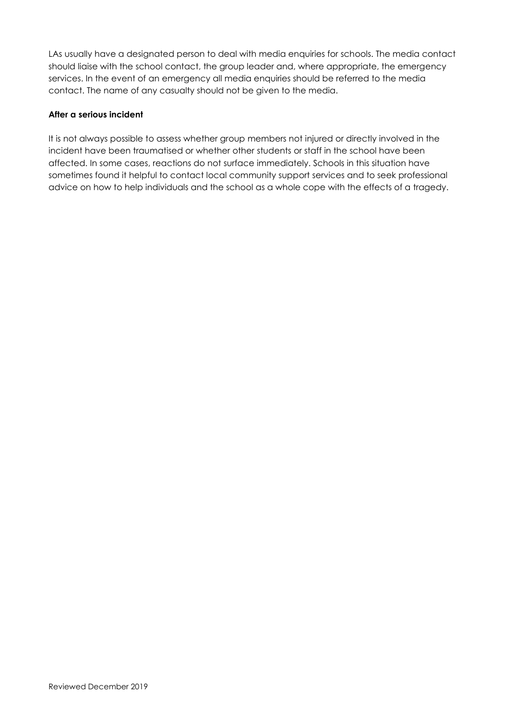LAs usually have a designated person to deal with media enquiries for schools. The media contact should liaise with the school contact, the group leader and, where appropriate, the emergency services. In the event of an emergency all media enquiries should be referred to the media contact. The name of any casualty should not be given to the media.

# **After a serious incident**

It is not always possible to assess whether group members not injured or directly involved in the incident have been traumatised or whether other students or staff in the school have been affected. In some cases, reactions do not surface immediately. Schools in this situation have sometimes found it helpful to contact local community support services and to seek professional advice on how to help individuals and the school as a whole cope with the effects of a tragedy.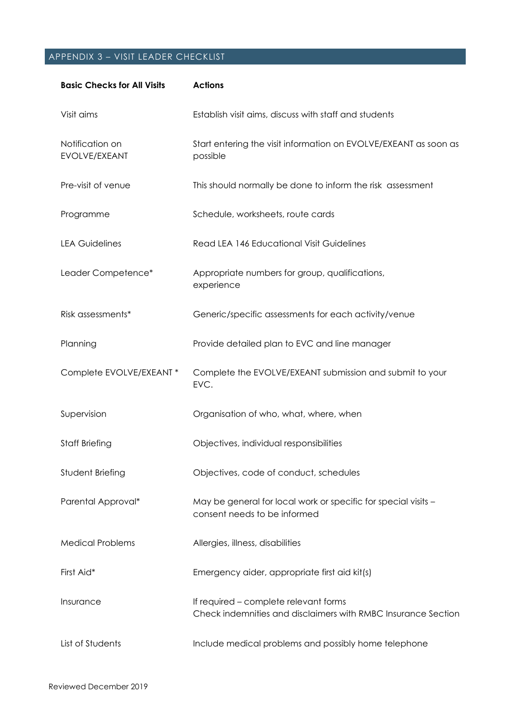# APPENDIX 3 – VISIT LEADER CHECKLIST

| <b>Basic Checks for All Visits</b> | <b>Actions</b>                                                                                         |
|------------------------------------|--------------------------------------------------------------------------------------------------------|
| Visit aims                         | Establish visit aims, discuss with staff and students                                                  |
| Notification on<br>EVOLVE/EXEANT   | Start entering the visit information on EVOLVE/EXEANT as soon as<br>possible                           |
| Pre-visit of venue                 | This should normally be done to inform the risk assessment                                             |
| Programme                          | Schedule, worksheets, route cards                                                                      |
| <b>LEA Guidelines</b>              | <b>Read LEA 146 Educational Visit Guidelines</b>                                                       |
| Leader Competence*                 | Appropriate numbers for group, qualifications,<br>experience                                           |
| Risk assessments*                  | Generic/specific assessments for each activity/venue                                                   |
| Planning                           | Provide detailed plan to EVC and line manager                                                          |
| Complete EVOLVE/EXEANT *           | Complete the EVOLVE/EXEANT submission and submit to your<br>EVC.                                       |
| Supervision                        | Organisation of who, what, where, when                                                                 |
| <b>Staff Briefing</b>              | Objectives, individual responsibilities                                                                |
| Student Briefing                   | Objectives, code of conduct, schedules                                                                 |
| Parental Approval*                 | May be general for local work or specific for special visits -<br>consent needs to be informed         |
| <b>Medical Problems</b>            | Allergies, illness, disabilities                                                                       |
| First Aid*                         | Emergency aider, appropriate first aid kit(s)                                                          |
| Insurance                          | If required – complete relevant forms<br>Check indemnities and disclaimers with RMBC Insurance Section |
| List of Students                   | Include medical problems and possibly home telephone                                                   |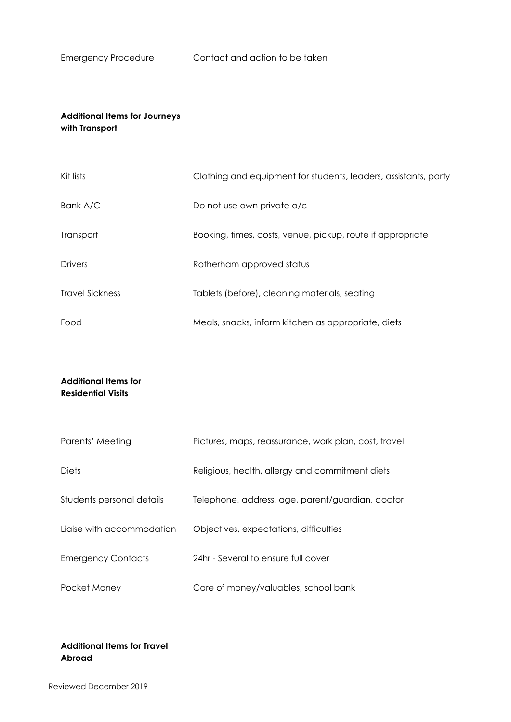# **Additional Items for Journeys with Transport**

| Kit lists              | Clothing and equipment for students, leaders, assistants, party |
|------------------------|-----------------------------------------------------------------|
| Bank A/C               | Do not use own private a/c                                      |
| Transport              | Booking, times, costs, venue, pickup, route if appropriate      |
| <b>Drivers</b>         | Rotherham approved status                                       |
| <b>Travel Sickness</b> | Tablets (before), cleaning materials, seating                   |
| Food                   | Meals, snacks, inform kitchen as appropriate, diets             |

# **Additional Items for Residential Visits**

| Parents' Meeting          | Pictures, maps, reassurance, work plan, cost, travel |
|---------------------------|------------------------------------------------------|
| <b>Diets</b>              | Religious, health, allergy and commitment diets      |
| Students personal details | Telephone, address, age, parent/guardian, doctor     |
| Liaise with accommodation | Objectives, expectations, difficulties               |
| <b>Emergency Contacts</b> | 24hr - Several to ensure full cover                  |
| Pocket Money              | Care of money/valuables, school bank                 |

# **Additional Items for Travel Abroad**